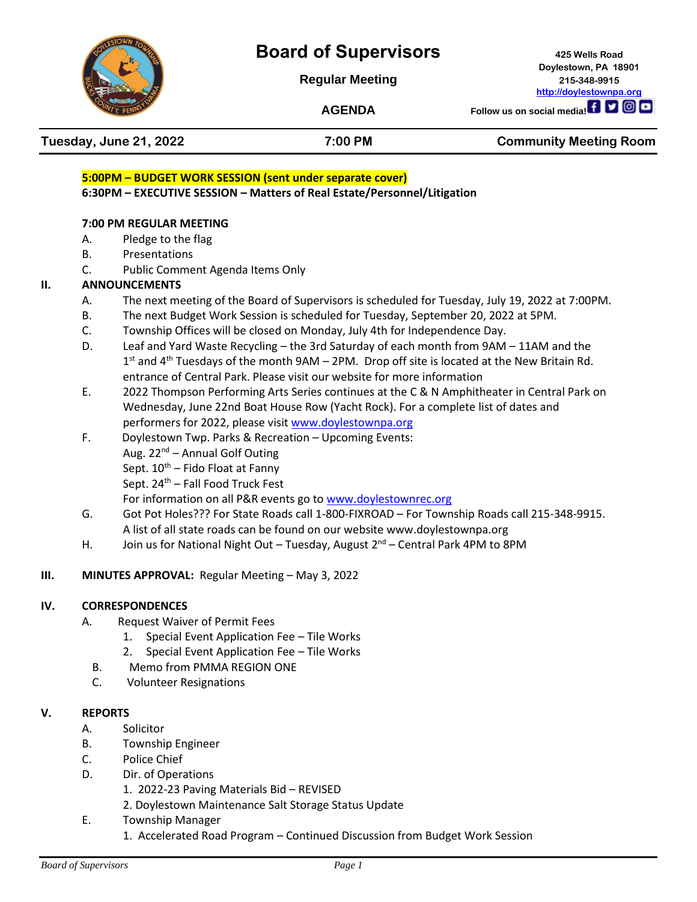

# **Board of Supervisors 425 Wells Road**

**Regular Meeting 215-348-9915**

**Doylestown, PA 18901 [http://doylestownpa.org](http://doylestownpa.org/)**

## **AGENDA Follow us on social media! f y ig D Tuesday, June 21, 2022 7:00 PM Community Meeting Room 5:00PM – BUDGET WORK SESSION (sent under separate cover) 6:30PM – EXECUTIVE SESSION – Matters of Real Estate/Personnel/Litigation 7:00 PM REGULAR MEETING** A. Pledge to the flag B. Presentations C. Public Comment Agenda Items Only **II. ANNOUNCEMENTS** A. The next meeting of the Board of Supervisors is scheduled for Tuesday, July 19, 2022 at 7:00PM. B. The next Budget Work Session is scheduled for Tuesday, September 20, 2022 at 5PM. C. Township Offices will be closed on Monday, July 4th for Independence Day. D. Leaf and Yard Waste Recycling – the 3rd Saturday of each month from 9AM – 11AM and the  $1<sup>st</sup>$  and 4<sup>th</sup> Tuesdays of the month 9AM – 2PM. Drop off site is located at the New Britain Rd. entrance of Central Park. Please visit our website for more information E. 2022 Thompson Performing Arts Series continues at the C & N Amphitheater in Central Park on Wednesday, June 22nd Boat House Row (Yacht Rock). For a complete list of dates and performers for 2022, please visit [www.doylestownpa.org](http://www.doylestownpa.org/)  F. Doylestown Twp. Parks & Recreation – Upcoming Events: Aug. 22<sup>nd</sup> – Annual Golf Outing Sept.  $10^{th}$  – Fido Float at Fanny Sept. 24<sup>th</sup> – Fall Food Truck Fest For information on all P&R events go to [www.doylestownrec.org](http://www.doylestownrec.org/) G. Got Pot Holes??? For State Roads call 1-800-FIXROAD – For Township Roads call 215-348-9915. A list of all state roads can be found on our website www.doylestownpa.org H. Join us for National Night Out – Tuesday, August  $2^{nd}$  – Central Park 4PM to 8PM **III. MINUTES APPROVAL:** Regular Meeting – May 3, 2022 **IV. CORRESPONDENCES** A. Request Waiver of Permit Fees 1. Special Event Application Fee – Tile Works 2. Special Event Application Fee – Tile Works B. Memo from PMMA REGION ONE

C. Volunteer Resignations

### **V. REPORTS**

- A. Solicitor
- B. Township Engineer
- C. Police Chief
- D. Dir. of Operations
	- 1. 2022-23 Paving Materials Bid REVISED
	- 2. Doylestown Maintenance Salt Storage Status Update
- E. Township Manager
	- 1. Accelerated Road Program Continued Discussion from Budget Work Session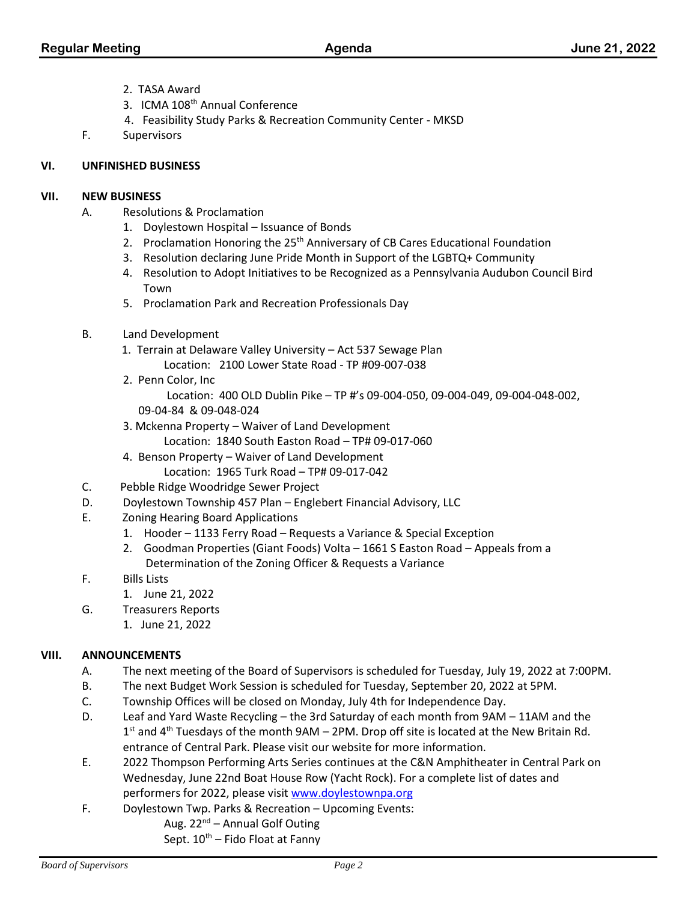- 2. TASA Award
- 3. ICMA 108<sup>th</sup> Annual Conference
- 4. Feasibility Study Parks & Recreation Community Center MKSD
- F. Supervisors

#### **VI. UNFINISHED BUSINESS**

#### **VII. NEW BUSINESS**

- A. Resolutions & Proclamation
	- 1. Doylestown Hospital Issuance of Bonds
	- 2. Proclamation Honoring the 25<sup>th</sup> Anniversary of CB Cares Educational Foundation
	- 3. Resolution declaring June Pride Month in Support of the LGBTQ+ Community
	- 4. Resolution to Adopt Initiatives to be Recognized as a Pennsylvania Audubon Council Bird Town
	- 5. Proclamation Park and Recreation Professionals Day
- B. Land Development
	- 1. Terrain at Delaware Valley University Act 537 Sewage Plan Location: 2100 Lower State Road - TP #09-007-038
	- 2. Penn Color, Inc
		- Location: 400 OLD Dublin Pike TP #'s 09-004-050, 09-004-049, 09-004-048-002,
	- 09-04-84 & 09-048-024
	- 3. Mckenna Property Waiver of Land Development
		- Location: 1840 South Easton Road TP# 09-017-060
	- 4. Benson Property Waiver of Land Development
		- Location: 1965 Turk Road TP# 09-017-042
- C. Pebble Ridge Woodridge Sewer Project
- D. Doylestown Township 457 Plan Englebert Financial Advisory, LLC
- E. Zoning Hearing Board Applications
	- 1. Hooder 1133 Ferry Road Requests a Variance & Special Exception
	- 2. Goodman Properties (Giant Foods) Volta 1661 S Easton Road Appeals from a Determination of the Zoning Officer & Requests a Variance
- F. Bills Lists
	- 1. June 21, 2022
- G. Treasurers Reports
	- 1. June 21, 2022

#### **VIII. ANNOUNCEMENTS**

- A. The next meeting of the Board of Supervisors is scheduled for Tuesday, July 19, 2022 at 7:00PM.
- B. The next Budget Work Session is scheduled for Tuesday, September 20, 2022 at 5PM.
- C. Township Offices will be closed on Monday, July 4th for Independence Day.
- D. Leaf and Yard Waste Recycling the 3rd Saturday of each month from 9AM 11AM and the  $1<sup>st</sup>$  and 4<sup>th</sup> Tuesdays of the month 9AM – 2PM. Drop off site is located at the New Britain Rd. entrance of Central Park. Please visit our website for more information.
- E. 2022 Thompson Performing Arts Series continues at the C&N Amphitheater in Central Park on Wednesday, June 22nd Boat House Row (Yacht Rock). For a complete list of dates and performers for 2022, please visit [www.doylestownpa.org](http://www.doylestownpa.org/)
- F. Doylestown Twp. Parks & Recreation Upcoming Events:
	- Aug.  $22^{nd}$  Annual Golf Outing
		- Sept.  $10^{th}$  Fido Float at Fanny